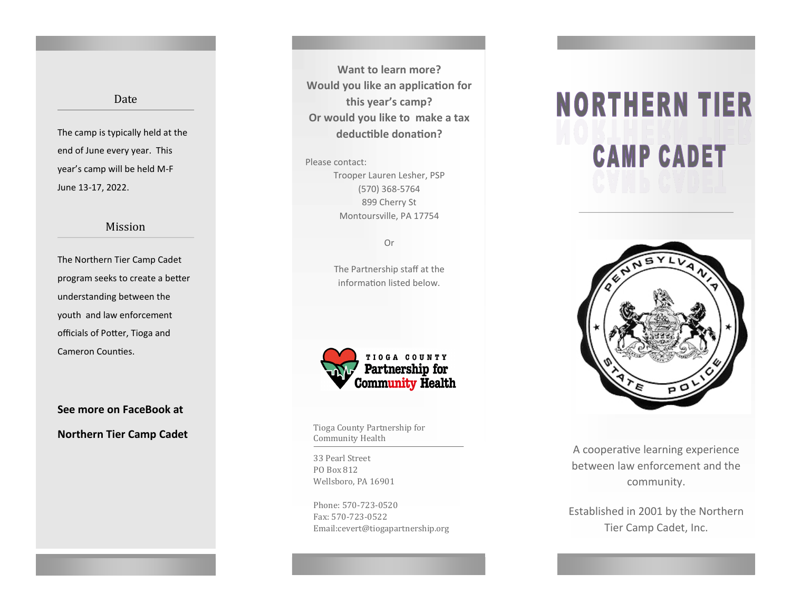### Date

The camp is typically held at the end of June every year. This year's camp will be held M-F June 13-17, 2022.

### Mission

The Northern Tier Camp Cadet program seeks to create a better understanding between the youth and law enforcement officials of Potter, Tioga and Cameron Counties.

**See more on FaceBook at Northern Tier Camp Cadet** Times **Times County Partnership for** 

**Want to learn more? Would you like an application for this year's camp? Or would you like to make a tax deductible donation?** 

Please contact: Trooper Lauren Lesher, PSP (570) 368-5764 899 Cherry St Montoursville, PA 17754

Or

The Partnership staff at the information listed below.



Community Health

33 Pearl Street PO Box 812 Wellsboro, PA 16901

Phone: 570-723-0520 Fax: 570-723-0522 Email:cevert@tiogapartnership.org

# **NORTHERN TIER CAMP CADET**



A cooperative learning experience between law enforcement and the community.

Established in 2001 by the Northern Tier Camp Cadet, Inc.